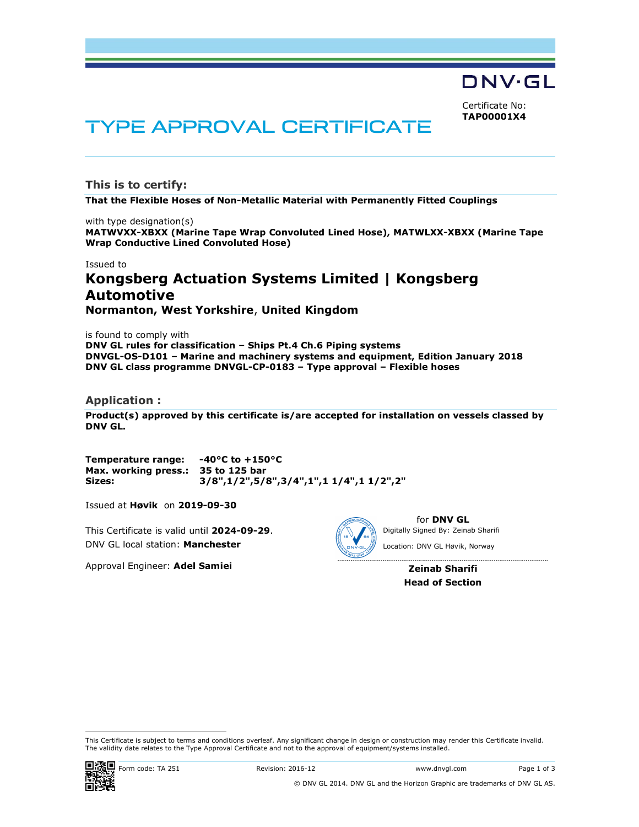**DNV·GL** 

Certificate No: TAP00001X4

# TYPE APPROVAL CERTIFICATE

This is to certify:

That the Flexible Hoses of Non-Metallic Material with Permanently Fitted Couplings

with type designation(s) MATWVXX-XBXX (Marine Tape Wrap Convoluted Lined Hose), MATWLXX-XBXX (Marine Tape Wrap Conductive Lined Convoluted Hose)

Issued to

# Kongsberg Actuation Systems Limited | Kongsberg Automotive Normanton, West Yorkshire, United Kingdom

is found to comply with DNV GL rules for classification – Ships Pt.4 Ch.6 Piping systems DNVGL-OS-D101 – Marine and machinery systems and equipment, Edition January 2018 DNV GL class programme DNVGL-CP-0183 – Type approval – Flexible hoses

#### Application :

Product(s) approved by this certificate is/are accepted for installation on vessels classed by DNV GL.

Temperature range: -40°C to +150°C Max. working press.: 35 to 125 bar Sizes: 3/8",1/2",5/8",3/4",1",1 1/4",1 1/2",2"

Issued at Høvik on 2019-09-30

This Certificate is valid until 2024-09-29. DNV GL local station: Manchester

Approval Engineer: Adel Samiei



for DNV GL Location: DNV GL Høvik, Norway

> Zeinab Sharifi Head of Section

i<br>I

This Certificate is subject to terms and conditions overleaf. Any significant change in design or construction may render this Certificate invalid.<br>The validity date relates to the Type Approval Certificate and not to the This Certificate is valid until 2024-09-29.<br>
DINV GL local station: **Manchester**<br>
Approval Engineer: **Adel Samiei**<br>
Approval Engineer: **Adel Samiei**<br> **Example 2024-09-29.**<br> *Location:* DNV GL local station: NARCHEST<br> *Zein*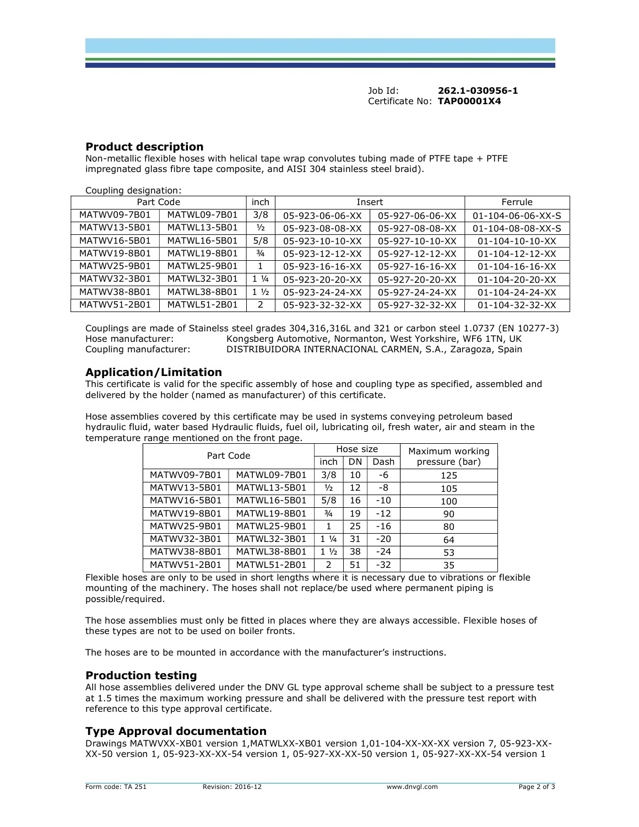Job Id: 262.1-030956-1 Certificate No: TAP00001X4

# Product description

Non-metallic flexible hoses with helical tape wrap convolutes tubing made of PTFE tape + PTFE impregnated glass fibre tape composite, and AISI 304 stainless steel braid).

| Coupling designation: |              |                |                 |                 |                               |  |  |  |
|-----------------------|--------------|----------------|-----------------|-----------------|-------------------------------|--|--|--|
| Part Code             |              | inch           | Insert          |                 | Ferrule                       |  |  |  |
| MATWV09-7B01          | MATWL09-7B01 | 3/8            | 05-923-06-06-XX | 05-927-06-06-XX | $01 - 104 - 06 - 06 - XX - S$ |  |  |  |
| MATWV13-5B01          | MATWL13-5B01 | $\frac{1}{2}$  | 05-923-08-08-XX | 05-927-08-08-XX | $01 - 104 - 08 - 08 - XX - S$ |  |  |  |
| MATWV16-5B01          | MATWL16-5B01 | 5/8            | 05-923-10-10-XX | 05-927-10-10-XX | $01 - 104 - 10 - 10 - XX$     |  |  |  |
| MATWV19-8B01          | MATWL19-8B01 | $\frac{3}{4}$  | 05-923-12-12-XX | 05-927-12-12-XX | $01 - 104 - 12 - 12 - XX$     |  |  |  |
| MATWV25-9B01          | MATWL25-9B01 | 1              | 05-923-16-16-XX | 05-927-16-16-XX | $01 - 104 - 16 - 16 - XX$     |  |  |  |
| MATWV32-3B01          | MATWL32-3B01 | $1\frac{1}{4}$ | 05-923-20-20-XX | 05-927-20-20-XX | $01 - 104 - 20 - 20 - XX$     |  |  |  |
| MATWV38-8B01          | MATWL38-8B01 | $1\frac{1}{2}$ | 05-923-24-24-XX | 05-927-24-24-XX | $01 - 104 - 24 - 24 - XX$     |  |  |  |
| MATWV51-2B01          | MATWL51-2B01 | 2              | 05-923-32-32-XX | 05-927-32-32-XX | $01 - 104 - 32 - 32 - XX$     |  |  |  |

Couplings are made of Stainelss steel grades 304,316,316L and 321 or carbon steel 1.0737 (EN 10277-3) Hose manufacturer: Kongsberg Automotive, Normanton, West Yorkshire, WF6 1TN, UK Coupling manufacturer: DISTRIBUIDORA INTERNACIONAL CARMEN, S.A., Zaragoza, Spain

## Application/Limitation

This certificate is valid for the specific assembly of hose and coupling type as specified, assembled and delivered by the holder (named as manufacturer) of this certificate.

Hose assemblies covered by this certificate may be used in systems conveying petroleum based hydraulic fluid, water based Hydraulic fluids, fuel oil, lubricating oil, fresh water, air and steam in the temperature range mentioned on the front page.

| Part Code    |              |                 | Hose size |       | Maximum working |
|--------------|--------------|-----------------|-----------|-------|-----------------|
|              |              |                 | DN        | Dash  | pressure (bar)  |
| MATWV09-7B01 | MATWL09-7B01 | 3/8             | 10        | -6    | 125             |
| MATWV13-5B01 | MATWL13-5B01 | $\frac{1}{2}$   | 12        | -8    | 105             |
| MATWV16-5B01 | MATWL16-5B01 | 5/8             | 16        | $-10$ | 100             |
| MATWV19-8B01 | MATWL19-8B01 | $\frac{3}{4}$   | 19        | $-12$ | 90              |
| MATWV25-9B01 | MATWL25-9B01 | 1               | 25        | $-16$ | 80              |
| MATWV32-3B01 | MATWL32-3B01 | $1 \frac{1}{4}$ | 31        | $-20$ | 64              |
| MATWV38-8B01 | MATWL38-8B01 | $1\frac{1}{2}$  | 38        | $-24$ | 53              |
| MATWV51-2B01 | MATWL51-2B01 | $\mathcal{P}$   | 51        | $-32$ | 35              |

Flexible hoses are only to be used in short lengths where it is necessary due to vibrations or flexible mounting of the machinery. The hoses shall not replace/be used where permanent piping is possible/required.

The hose assemblies must only be fitted in places where they are always accessible. Flexible hoses of these types are not to be used on boiler fronts.

The hoses are to be mounted in accordance with the manufacturer's instructions.

#### Production testing

All hose assemblies delivered under the DNV GL type approval scheme shall be subject to a pressure test at 1.5 times the maximum working pressure and shall be delivered with the pressure test report with reference to this type approval certificate.

# Type Approval documentation

Drawings MATWVXX-XB01 version 1,MATWLXX-XB01 version 1,01-104-XX-XX-XX version 7, 05-923-XX-XX-50 version 1, 05-923-XX-XX-54 version 1, 05-927-XX-XX-50 version 1, 05-927-XX-XX-54 version 1